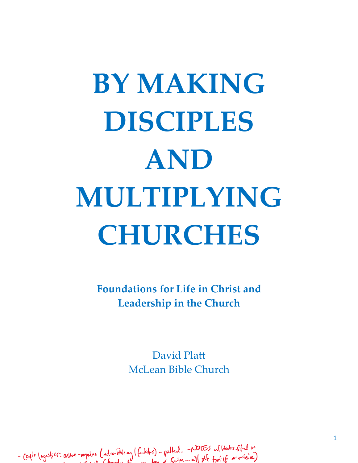# **BY MAKING DISCIPLES AND MULTIPLYING CHURCHES**

**Foundations for Life in Christ and Leadership in the Church**

> David Platt McLean Bible Church

- Caple logistics: online -anywhere (inclusion little any (fullates) - polited. - Notes al blanks filled we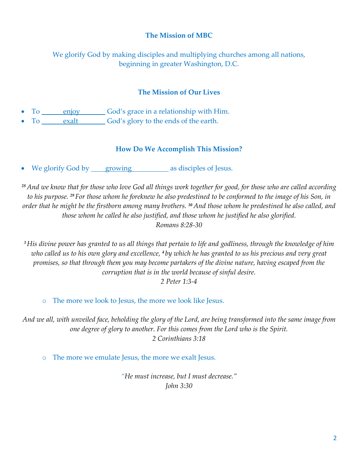## **The Mission of MBC**

We glorify God by making disciples and multiplying churches among all nations, beginning in greater Washington, D.C.

#### **The Mission of Our Lives**

- To enjoy God's grace in a relationship with Him.
- To exalt God's glory to the ends of the earth.

#### **How Do We Accomplish This Mission?**

• We glorify God by growing as disciples of Jesus.

*<sup>28</sup> And we know that for those who love God all things work together for good, for those who are called according to his purpose. <sup>29</sup> For those whom he foreknew he also predestined to be conformed to the image of his Son, in order that he might be the firstborn among many brothers. <sup>30</sup> And those whom he predestined he also called, and those whom he called he also justified, and those whom he justified he also glorified. Romans 8:28-30*

*<sup>3</sup>His divine power has granted to us all things that pertain to life and godliness, through the knowledge of him who called us to his own glory and excellence, <sup>4</sup> by which he has granted to us his precious and very great promises, so that through them you may become partakers of the divine nature, having escaped from the corruption that is in the world because of sinful desire.*

*2 Peter 1:3-4*

o The more we look to Jesus, the more we look like Jesus.

*And we all, with unveiled face, beholding the glory of the Lord, are being transformed into the same image from one degree of glory to another. For this comes from the Lord who is the Spirit. 2 Corinthians 3:18*

o The more we emulate Jesus, the more we exalt Jesus.

*"He must increase, but I must decrease." John 3:30*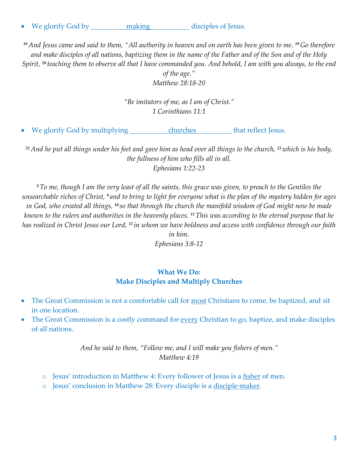• We glorify God by making disciples of Jesus.

*<sup>18</sup> And Jesus came and said to them, "All authority in heaven and on earth has been given to me. <sup>19</sup> Go therefore and make disciples of all nations, baptizing them in the name of the Father and of the Son and of the Holy Spirit, <sup>20</sup> teaching them to observe all that I have commanded you. And behold, I am with you always, to the end* 

> *of the age." Matthew 28:18-20*

*"Be imitators of me, as I am of Christ." 1 Corinthians 11:1*

• We glorify God by multiplying churches that reflect Jesus.

*<sup>22</sup> And he put all things under his feet and gave him as head over all things to the church, <sup>23</sup> which is his body, the fullness of him who fills all in all. Ephesians 1:22-23*

*<sup>8</sup>To me, though I am the very least of all the saints, this grace was given, to preach to the Gentiles the unsearchable riches of Christ, <sup>9</sup> and to bring to light for everyone what is the plan of the mystery hidden for ages in God, who created all things, <sup>10</sup> so that through the church the manifold wisdom of God might now be made known to the rulers and authorities in the heavenly places. 11This was according to the eternal purpose that he has realized in Christ Jesus our Lord, <sup>12</sup> in whom we have boldness and access with confidence through our faith* 

*in him. Ephesians 3:8-12*

## **What We Do: Make Disciples and Multiply Churches**

- The Great Commission is not a comfortable call for most Christians to come, be baptized, and sit in one location.
- The Great Commission is a costly command for every Christian to go, baptize, and make disciples of all nations.

*And he said to them, "Follow me, and I will make you fishers of men." Matthew 4:19*

- o Jesus' introduction in Matthew 4: Every follower of Jesus is a fisher of men.
- o Jesus' conclusion in Matthew 28: Every disciple is a disciple-maker.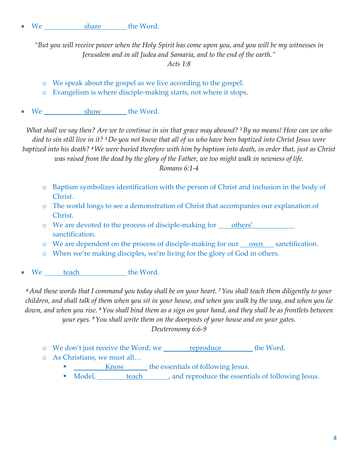*"But you will receive power when the Holy Spirit has come upon you, and you will be my witnesses in Jerusalem and in all Judea and Samaria, and to the end of the earth." Acts 1:8*

- o We speak about the gospel as we live according to the gospel.
- o Evangelism is where disciple-making starts, not where it stops.
- We show the Word.

*What shall we say then? Are we to continue in sin that grace may abound? 2By no means! How can we who died to sin still live in it? 3Do you not know that all of us who have been baptized into Christ Jesus were baptized into his death? 4We were buried therefore with him by baptism into death, in order that, just as Christ was raised from the dead by the glory of the Father, we too might walk in newness of life.*

*Romans 6:1-4*

- o Baptism symbolizes identification with the person of Christ and inclusion in the body of Christ.
- o The world longs to see a demonstration of Christ that accompanies our explanation of Christ.
- o We are devoted to the process of disciple-making for others' sanctification.
- $\circ$  We are dependent on the process of disciple-making for our <u>own</u> sanctification.
- o When we're making disciples, we're living for the glory of God in others.
- We teach the Word.

*<sup>6</sup> And these words that I command you today shall be on your heart. 7You shall teach them diligently to your children, and shall talk of them when you sit in your house, and when you walk by the way, and when you lie down, and when you rise. 8You shall bind them as a sign on your hand, and they shall be as frontlets between your eyes. 9You shall write them on the doorposts of your house and on your gates.*

*Deuteronomy 6:6-9*

- o We don't just receive the Word; we reproduce the Word.
- o As Christians, we must all…
	- **EXECUTE:** Know the essentials of following Jesus.
	- Model, <u>teach</u> , and reproduce the essentials of following Jesus.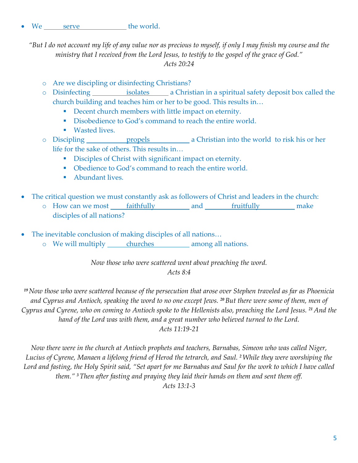We serve the world.

*"But I do not account my life of any value nor as precious to myself, if only I may finish my course and the ministry that I received from the Lord Jesus, to testify to the gospel of the grace of God." Acts 20:24*

- o Are we discipling or disinfecting Christians?
- o Disinfecting isolates a Christian in a spiritual safety deposit box called the church building and teaches him or her to be good. This results in…
	- Decent church members with little impact on eternity.
	- Disobedience to God's command to reach the entire world.
	- Wasted lives.
- o Discipling propels a Christian into the world to risk his or her life for the sake of others. This results in…
	- **•** Disciples of Christ with significant impact on eternity.
	- Obedience to God's command to reach the entire world.
	- Abundant lives.
- The critical question we must constantly ask as followers of Christ and leaders in the church:
	- o How can we most faithfully and fruitfully make disciples of all nations?
- The inevitable conclusion of making disciples of all nations... o We will multiply churches among all nations.

*Now those who were scattered went about preaching the word. Acts 8:4*

*<sup>19</sup>Now those who were scattered because of the persecution that arose over Stephen traveled as far as Phoenicia and Cyprus and Antioch, speaking the word to no one except Jews. 20But there were some of them, men of Cyprus and Cyrene, who on coming to Antioch spoke to the Hellenists also, preaching the Lord Jesus. <sup>21</sup> And the hand of the Lord was with them, and a great number who believed turned to the Lord. Acts 11:19-21*

*Now there were in the church at Antioch prophets and teachers, Barnabas, Simeon who was called Niger, Lucius of Cyrene, Manaen a lifelong friend of Herod the tetrarch, and Saul. 2While they were worshiping the Lord and fasting, the Holy Spirit said, "Set apart for me Barnabas and Saul for the work to which I have called them." 3Then after fasting and praying they laid their hands on them and sent them off. Acts 13:1-3*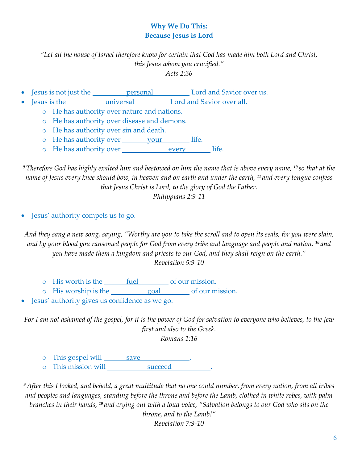# **Why We Do This: Because Jesus is Lord**

*"Let all the house of Israel therefore know for certain that God has made him both Lord and Christ, this Jesus whom you crucified." Acts 2:36*

- Jesus is not just the <u>personal</u> Lord and Savior over us.
- Jesus is the universal Lord and Savior over all.
	- o He has authority over nature and nations.
	- o He has authority over disease and demons.
	- o He has authority over sin and death.
	- o He has authority over your life.
	- o He has authority over every life.

*<sup>9</sup>Therefore God has highly exalted him and bestowed on him the name that is above every name, <sup>10</sup> so that at the name of Jesus every knee should bow, in heaven and on earth and under the earth, <sup>11</sup> and every tongue confess that Jesus Christ is Lord, to the glory of God the Father.*

*Philippians 2:9-11*

• Jesus' authority compels us to go.

*And they sang a new song, saying, "Worthy are you to take the scroll and to open its seals, for you were slain, and by your blood you ransomed people for God from every tribe and language and people and nation, <sup>10</sup> and you have made them a kingdom and priests to our God, and they shall reign on the earth." Revelation 5:9-10*

- o His worth is the fuel of our mission.
- o His worship is the goal of our mission.
- Jesus' authority gives us confidence as we go.

*For I am not ashamed of the gospel, for it is the power of God for salvation to everyone who believes, to the Jew first and also to the Greek. Romans 1:16*

- o This gospel will save
- o This mission will succeed

*<sup>9</sup> After this I looked, and behold, a great multitude that no one could number, from every nation, from all tribes and peoples and languages, standing before the throne and before the Lamb, clothed in white robes, with palm branches in their hands, <sup>10</sup> and crying out with a loud voice, "Salvation belongs to our God who sits on the* 

> *throne, and to the Lamb!" Revelation 7:9-10*